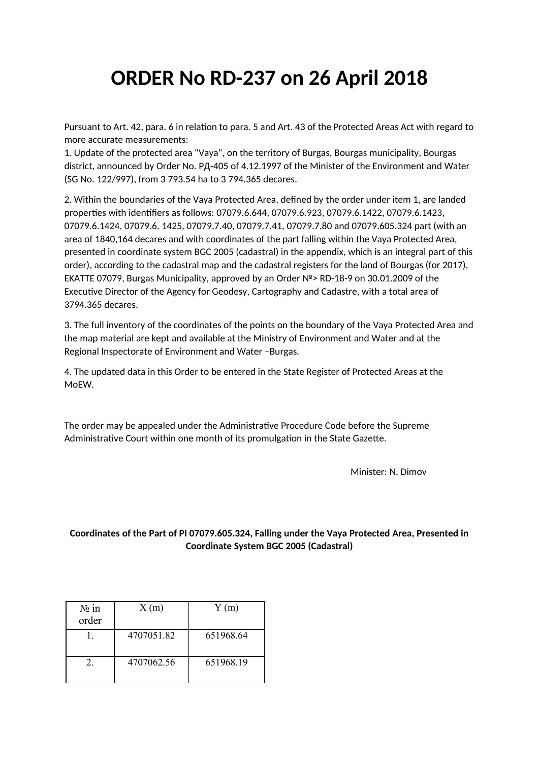## **ORDER No RD-237 on 26 April 2018**

Pursuant to Art. 42, para. 6 in relation to para. 5 and Art. 43 of the Protected Areas Act with regard to more accurate measurements:

1. Update of the protected area "Vaya", on the territory of Burgas, Bourgas municipality, Bourgas district, announced by Order No. РД-405 of 4.12.1997 of the Minister of the Environment and Water (SG No. 122/997), from 3 793.54 ha to 3 794.365 decares.

2. Within the boundaries of the Vaya Protected Area, defined by the order under item 1, are landed properties with identifiers as follows: 07079.6.644, 07079.6.923, 07079.6.1422, 07079.6.1423, 07079.6.1424, 07079.6. 1425, 07079.7.40, 07079.7.41, 07079.7.80 and 07079.605.324 part (with an area of 1840,164 decares and with coordinates of the part falling within the Vaya Protected Area, presented in coordinate system BGC 2005 (cadastral) in the appendix, which is an integral part of this order), according to the cadastral map and the cadastral registers for the land of Bourgas (for 2017), EKATTE 07079, Burgas Municipality, approved by an Order №> RD-18-9 on 30.01.2009 of the Executive Director of the Agency for Geodesy, Cartography and Cadastre, with a total area of 3794.365 decares.

3. The full inventory of the coordinates of the points on the boundary of the Vaya Protected Area and the map material are kept and available at the Ministry of Environment and Water and at the Regional Inspectorate of Environment and Water –Burgas.

4. The updated data in this Order to be entered in the State Register of Protected Areas at the MoEW.

The order may be appealed under the Administrative Procedure Code before the Supreme Administrative Court within one month of its promulgation in the State Gazette.

Minister: N. Dimov

## **Coordinates of the Part of PI 07079.605.324, Falling under the Vaya Protected Area, Presented in Coordinate System BGC 2005 (Cadastral)**

| $N_2$ in<br>order | X(m)       | Y(m)      |
|-------------------|------------|-----------|
|                   | 4707051.82 | 651968.64 |
|                   | 4707062.56 | 651968.19 |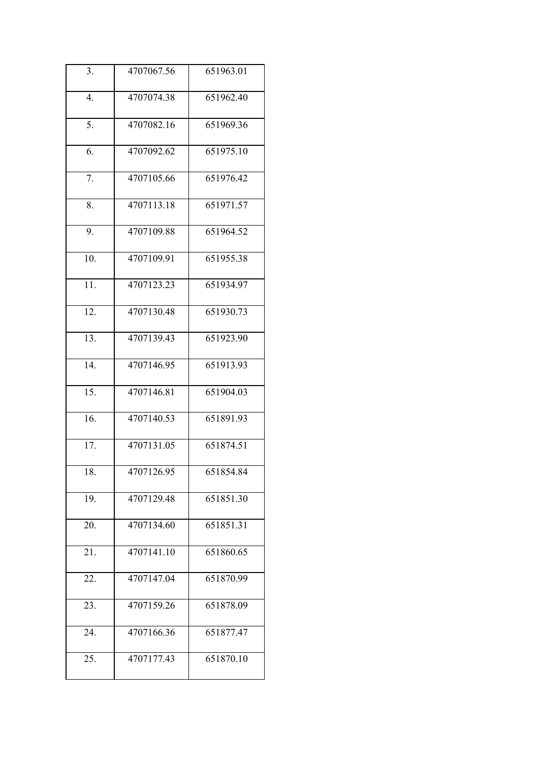| 3.                | 4707067.56 | 651963.01 |
|-------------------|------------|-----------|
| 4.                | 4707074.38 | 651962.40 |
| 5.                | 4707082.16 | 651969.36 |
| 6.                | 4707092.62 | 651975.10 |
| 7.                | 4707105.66 | 651976.42 |
| 8.                | 4707113.18 | 651971.57 |
| 9.                | 4707109.88 | 651964.52 |
| 10.               | 4707109.91 | 651955.38 |
| 11.               | 4707123.23 | 651934.97 |
| 12.               | 4707130.48 | 651930.73 |
| $\overline{13}$ . | 4707139.43 | 651923.90 |
| $\overline{14}$ . | 4707146.95 | 651913.93 |
| 15.               | 4707146.81 | 651904.03 |
| 16.               | 4707140.53 | 651891.93 |
| 17.               | 4707131.05 | 651874.51 |
| 18.               | 4707126.95 | 651854.84 |
| 19.               | 4707129.48 | 651851.30 |
| 20.               | 4707134.60 | 651851.31 |
| 21.               | 4707141.10 | 651860.65 |
| 22.               | 4707147.04 | 651870.99 |
| 23.               | 4707159.26 | 651878.09 |
| 24.               | 4707166.36 | 651877.47 |
| 25.               | 4707177.43 | 651870.10 |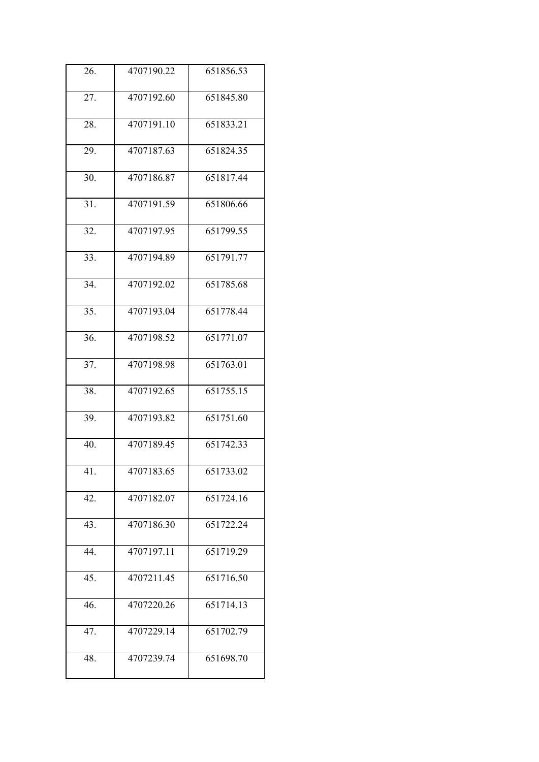| 26.               | 4707190.22 | 651856.53 |
|-------------------|------------|-----------|
| 27.               | 4707192.60 | 651845.80 |
| 28.               | 4707191.10 | 651833.21 |
| 29.               | 4707187.63 | 651824.35 |
| 30.               | 4707186.87 | 651817.44 |
| 31.               | 4707191.59 | 651806.66 |
| 32.               | 4707197.95 | 651799.55 |
| 33.               | 4707194.89 | 651791.77 |
| $\overline{34}$ . | 4707192.02 | 651785.68 |
| 35.               | 4707193.04 | 651778.44 |
| 36.               | 4707198.52 | 651771.07 |
| 37.               | 4707198.98 | 651763.01 |
| 38.               | 4707192.65 | 651755.15 |
| 39.               | 4707193.82 | 651751.60 |
| 40.               | 4707189.45 | 651742.33 |
| 41.               | 4707183.65 | 651733.02 |
| 42.               | 4707182.07 | 651724.16 |
| 43.               | 4707186.30 | 651722.24 |
| 44.               | 4707197.11 | 651719.29 |
| 45.               | 4707211.45 | 651716.50 |
| 46.               | 4707220.26 | 651714.13 |
| 47.               | 4707229.14 | 651702.79 |
| 48.               | 4707239.74 | 651698.70 |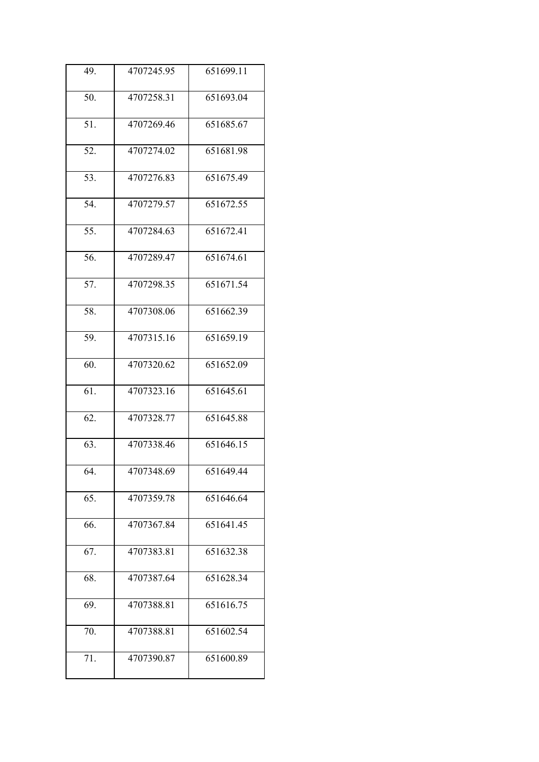| 49. | 4707245.95 | 651699.11 |
|-----|------------|-----------|
| 50. | 4707258.31 | 651693.04 |
| 51. | 4707269.46 | 651685.67 |
| 52. | 4707274.02 | 651681.98 |
| 53. | 4707276.83 | 651675.49 |
| 54. | 4707279.57 | 651672.55 |
| 55. | 4707284.63 | 651672.41 |
| 56. | 4707289.47 | 651674.61 |
| 57. | 4707298.35 | 651671.54 |
| 58. | 4707308.06 | 651662.39 |
| 59. | 4707315.16 | 651659.19 |
| 60. | 4707320.62 | 651652.09 |
| 61. | 4707323.16 | 651645.61 |
| 62. | 4707328.77 | 651645.88 |
| 63. | 4707338.46 | 651646.15 |
| 64. | 4707348.69 | 651649.44 |
| 65. | 4707359.78 | 651646.64 |
| 66. | 4707367.84 | 651641.45 |
| 67. | 4707383.81 | 651632.38 |
| 68. | 4707387.64 | 651628.34 |
| 69. | 4707388.81 | 651616.75 |
| 70. | 4707388.81 | 651602.54 |
| 71. | 4707390.87 | 651600.89 |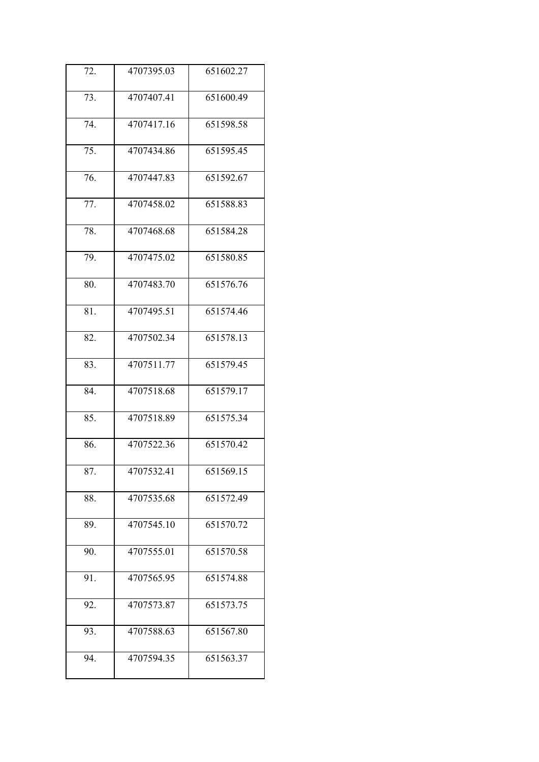| 72.               | 4707395.03 | 651602.27 |
|-------------------|------------|-----------|
| 73.               | 4707407.41 | 651600.49 |
| 74.               | 4707417.16 | 651598.58 |
| 75.               | 4707434.86 | 651595.45 |
| 76.               | 4707447.83 | 651592.67 |
| 77.               | 4707458.02 | 651588.83 |
| 78.               | 4707468.68 | 651584.28 |
| 79.               | 4707475.02 | 651580.85 |
| 80.               | 4707483.70 | 651576.76 |
| $\overline{81}$ . | 4707495.51 | 651574.46 |
| 82.               | 4707502.34 | 651578.13 |
| 83.               | 4707511.77 | 651579.45 |
| 84.               | 4707518.68 | 651579.17 |
| 85.               | 4707518.89 | 651575.34 |
| 86.               | 4707522.36 | 651570.42 |
| 87.               | 4707532.41 | 651569.15 |
| 88.               | 4707535.68 | 651572.49 |
| 89.               | 4707545.10 | 651570.72 |
| 90.               | 4707555.01 | 651570.58 |
| 91.               | 4707565.95 | 651574.88 |
| 92.               | 4707573.87 | 651573.75 |
| 93.               | 4707588.63 | 651567.80 |
| 94.               | 4707594.35 | 651563.37 |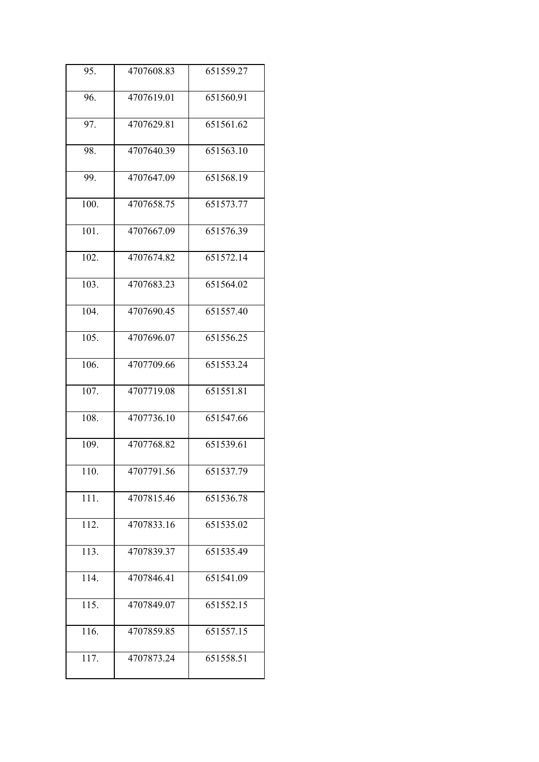| 95.  | 4707608.83 | 651559.27 |
|------|------------|-----------|
| 96.  | 4707619.01 | 651560.91 |
| 97.  | 4707629.81 | 651561.62 |
| 98.  | 4707640.39 | 651563.10 |
| 99.  | 4707647.09 | 651568.19 |
| 100. | 4707658.75 | 651573.77 |
| 101. | 4707667.09 | 651576.39 |
| 102. | 4707674.82 | 651572.14 |
| 103. | 4707683.23 | 651564.02 |
| 104. | 4707690.45 | 651557.40 |
| 105. | 4707696.07 | 651556.25 |
| 106. | 4707709.66 | 651553.24 |
| 107. | 4707719.08 | 651551.81 |
| 108. | 4707736.10 | 651547.66 |
| 109. | 4707768.82 | 651539.61 |
| 110. | 4707791.56 | 651537.79 |
| 111. | 4707815.46 | 651536.78 |
| 112. | 4707833.16 | 651535.02 |
| 113. | 4707839.37 | 651535.49 |
| 114. | 4707846.41 | 651541.09 |
| 115. | 4707849.07 | 651552.15 |
| 116. | 4707859.85 | 651557.15 |
| 117. | 4707873.24 | 651558.51 |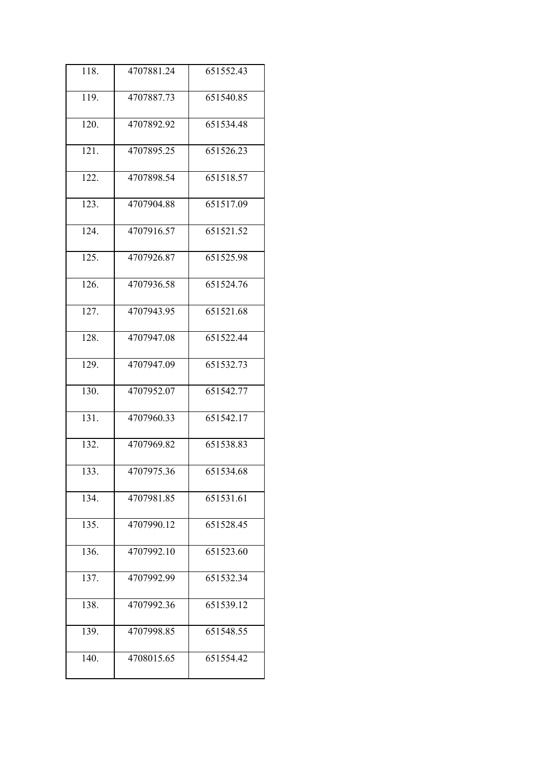| 118. | 4707881.24 | 651552.43 |
|------|------------|-----------|
| 119. | 4707887.73 | 651540.85 |
| 120. | 4707892.92 | 651534.48 |
| 121. | 4707895.25 | 651526.23 |
| 122. | 4707898.54 | 651518.57 |
| 123. | 4707904.88 | 651517.09 |
| 124. | 4707916.57 | 651521.52 |
| 125. | 4707926.87 | 651525.98 |
| 126. | 4707936.58 | 651524.76 |
| 127. | 4707943.95 | 651521.68 |
| 128. | 4707947.08 | 651522.44 |
| 129. | 4707947.09 | 651532.73 |
| 130. | 4707952.07 | 651542.77 |
| 131. | 4707960.33 | 651542.17 |
| 132. | 4707969.82 | 651538.83 |
| 133. | 4707975.36 | 651534.68 |
| 134. | 4707981.85 | 651531.61 |
| 135. | 4707990.12 | 651528.45 |
| 136. | 4707992.10 | 651523.60 |
| 137. | 4707992.99 | 651532.34 |
| 138. | 4707992.36 | 651539.12 |
| 139. | 4707998.85 | 651548.55 |
| 140. | 4708015.65 | 651554.42 |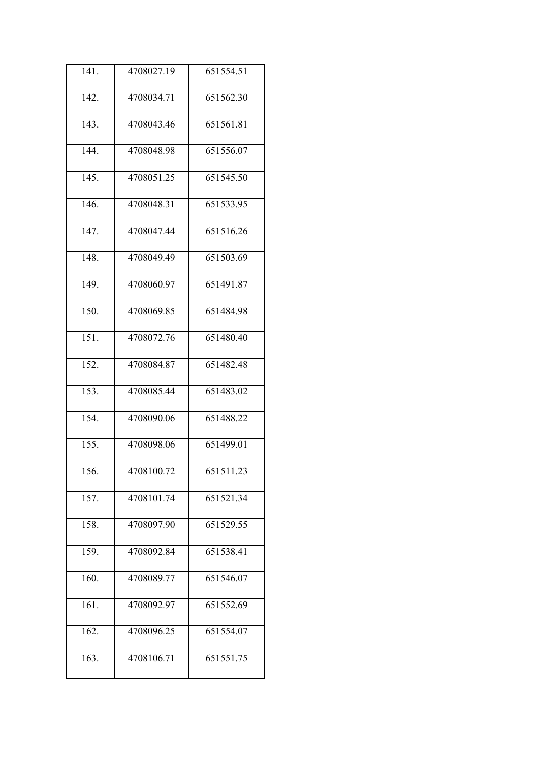| 141.               | 4708027.19 | 651554.51 |
|--------------------|------------|-----------|
| 142.               | 4708034.71 | 651562.30 |
| 143.               | 4708043.46 | 651561.81 |
| 144.               | 4708048.98 | 651556.07 |
| 145.               | 4708051.25 | 651545.50 |
| 146.               | 4708048.31 | 651533.95 |
| 147.               | 4708047.44 | 651516.26 |
| 148.               | 4708049.49 | 651503.69 |
| 149.               | 4708060.97 | 651491.87 |
| 150.               | 4708069.85 | 651484.98 |
| 151.               | 4708072.76 | 651480.40 |
| 152.               | 4708084.87 | 651482.48 |
| 153.               | 4708085.44 | 651483.02 |
| 154.               | 4708090.06 | 651488.22 |
| 155.               | 4708098.06 | 651499.01 |
| 156.               | 4708100.72 | 651511.23 |
| 157.               | 4708101.74 | 651521.34 |
| 158.               | 4708097.90 | 651529.55 |
| 159.               | 4708092.84 | 651538.41 |
| 160.               | 4708089.77 | 651546.07 |
| $\overline{161}$ . | 4708092.97 | 651552.69 |
| 162.               | 4708096.25 | 651554.07 |
| 163.               | 4708106.71 | 651551.75 |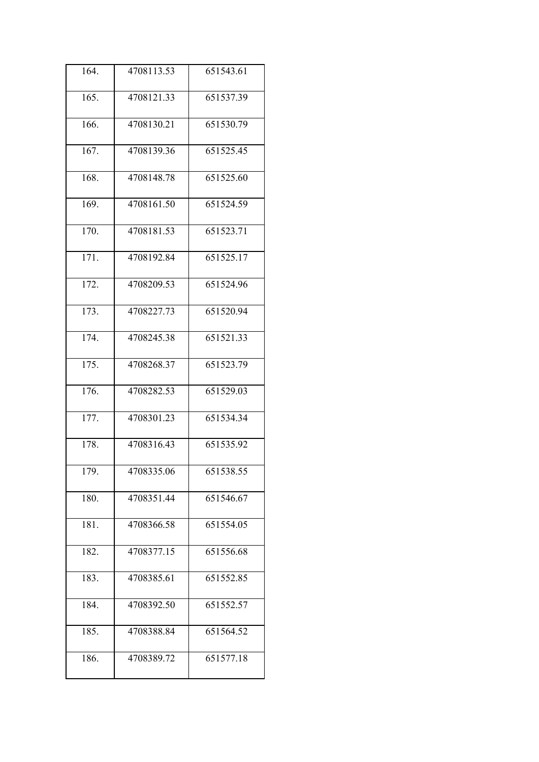| 164. | 4708113.53 | 651543.61 |
|------|------------|-----------|
| 165. | 4708121.33 | 651537.39 |
| 166. | 4708130.21 | 651530.79 |
| 167. | 4708139.36 | 651525.45 |
| 168. | 4708148.78 | 651525.60 |
| 169. | 4708161.50 | 651524.59 |
| 170. | 4708181.53 | 651523.71 |
| 171. | 4708192.84 | 651525.17 |
| 172. | 4708209.53 | 651524.96 |
| 173. | 4708227.73 | 651520.94 |
| 174. | 4708245.38 | 651521.33 |
| 175. | 4708268.37 | 651523.79 |
| 176. | 4708282.53 | 651529.03 |
| 177. | 4708301.23 | 651534.34 |
| 178. | 4708316.43 | 651535.92 |
| 179. | 4708335.06 | 651538.55 |
| 180. | 4708351.44 | 651546.67 |
| 181. | 4708366.58 | 651554.05 |
| 182. | 4708377.15 | 651556.68 |
| 183. | 4708385.61 | 651552.85 |
| 184. | 4708392.50 | 651552.57 |
| 185. | 4708388.84 | 651564.52 |
| 186. | 4708389.72 | 651577.18 |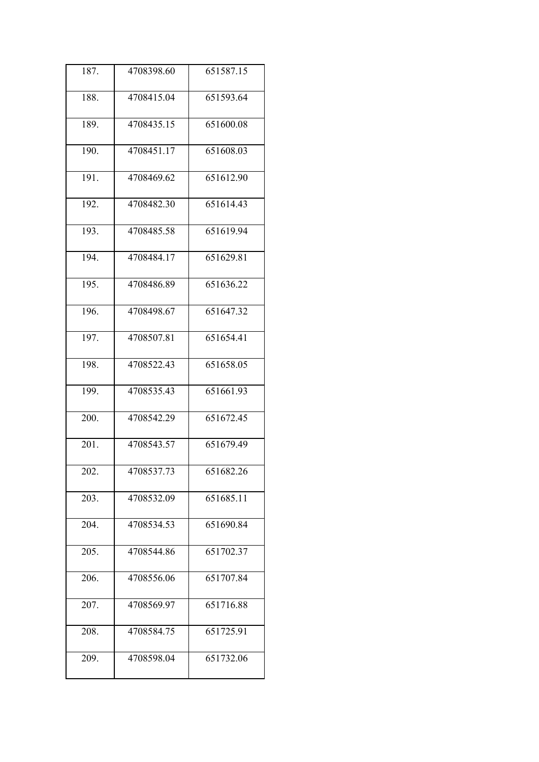| 187. | 4708398.60 | 651587.15 |
|------|------------|-----------|
| 188. | 4708415.04 | 651593.64 |
| 189. | 4708435.15 | 651600.08 |
| 190. | 4708451.17 | 651608.03 |
| 191. | 4708469.62 | 651612.90 |
| 192. | 4708482.30 | 651614.43 |
| 193. | 4708485.58 | 651619.94 |
| 194. | 4708484.17 | 651629.81 |
| 195. | 4708486.89 | 651636.22 |
| 196. | 4708498.67 | 651647.32 |
| 197. | 4708507.81 | 651654.41 |
| 198. | 4708522.43 | 651658.05 |
| 199. | 4708535.43 | 651661.93 |
| 200. | 4708542.29 | 651672.45 |
| 201. | 4708543.57 | 651679.49 |
| 202. | 4708537.73 | 651682.26 |
| 203. | 4708532.09 | 651685.11 |
| 204. | 4708534.53 | 651690.84 |
| 205. | 4708544.86 | 651702.37 |
| 206. | 4708556.06 | 651707.84 |
| 207. | 4708569.97 | 651716.88 |
| 208. | 4708584.75 | 651725.91 |
| 209. | 4708598.04 | 651732.06 |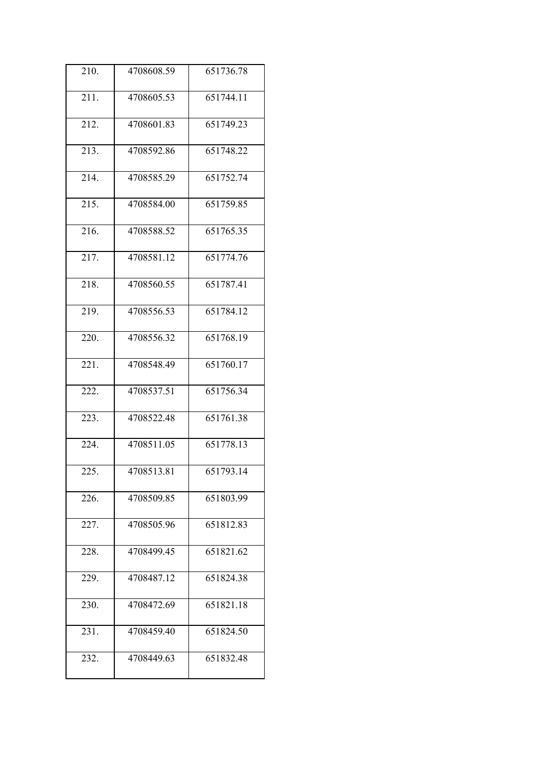| 210. | 4708608.59 | 651736.78 |
|------|------------|-----------|
| 211. | 4708605.53 | 651744.11 |
| 212. | 4708601.83 | 651749.23 |
| 213. | 4708592.86 | 651748.22 |
| 214. | 4708585.29 | 651752.74 |
| 215. | 4708584.00 | 651759.85 |
| 216. | 4708588.52 | 651765.35 |
| 217. | 4708581.12 | 651774.76 |
| 218. | 4708560.55 | 651787.41 |
| 219. | 4708556.53 | 651784.12 |
| 220. | 4708556.32 | 651768.19 |
| 221. | 4708548.49 | 651760.17 |
| 222. | 4708537.51 | 651756.34 |
| 223. | 4708522.48 | 651761.38 |
| 224. | 4708511.05 | 651778.13 |
| 225. | 4708513.81 | 651793.14 |
| 226. | 4708509.85 | 651803.99 |
| 227. | 4708505.96 | 651812.83 |
| 228. | 4708499.45 | 651821.62 |
| 229. | 4708487.12 | 651824.38 |
| 230. | 4708472.69 | 651821.18 |
| 231. | 4708459.40 | 651824.50 |
| 232. | 4708449.63 | 651832.48 |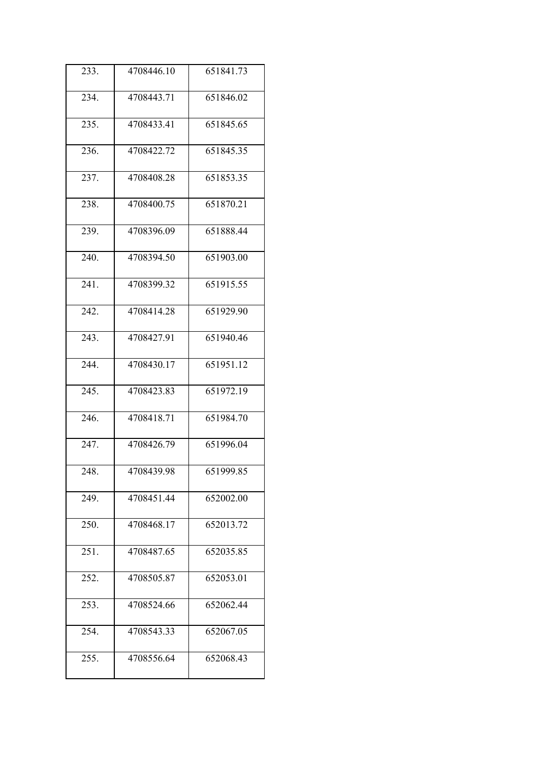| 233.               | 4708446.10 | 651841.73 |
|--------------------|------------|-----------|
| 234.               | 4708443.71 | 651846.02 |
| 235.               | 4708433.41 | 651845.65 |
| 236.               | 4708422.72 | 651845.35 |
| 237.               | 4708408.28 | 651853.35 |
| 238.               | 4708400.75 | 651870.21 |
| 239.               | 4708396.09 | 651888.44 |
| 240.               | 4708394.50 | 651903.00 |
| $\overline{241}$ . | 4708399.32 | 651915.55 |
| 242.               | 4708414.28 | 651929.90 |
| 243.               | 4708427.91 | 651940.46 |
| 244.               | 4708430.17 | 651951.12 |
| 245.               | 4708423.83 | 651972.19 |
| 246.               | 4708418.71 | 651984.70 |
| 247.               | 4708426.79 | 651996.04 |
| 248.               | 4708439.98 | 651999.85 |
| 249.               | 4708451.44 | 652002.00 |
| 250.               | 4708468.17 | 652013.72 |
| 251.               | 4708487.65 | 652035.85 |
| 252.               | 4708505.87 | 652053.01 |
| 253.               | 4708524.66 | 652062.44 |
| 254.               | 4708543.33 | 652067.05 |
| 255.               | 4708556.64 | 652068.43 |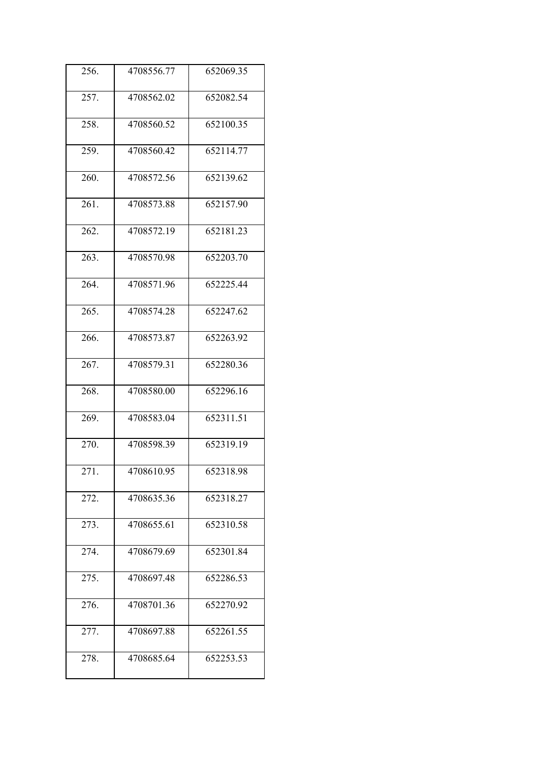| 256. | 4708556.77 | 652069.35 |
|------|------------|-----------|
| 257. | 4708562.02 | 652082.54 |
| 258. | 4708560.52 | 652100.35 |
| 259. | 4708560.42 | 652114.77 |
| 260. | 4708572.56 | 652139.62 |
| 261. | 4708573.88 | 652157.90 |
| 262. | 4708572.19 | 652181.23 |
| 263. | 4708570.98 | 652203.70 |
| 264. | 4708571.96 | 652225.44 |
| 265. | 4708574.28 | 652247.62 |
| 266. | 4708573.87 | 652263.92 |
| 267. | 4708579.31 | 652280.36 |
| 268. | 4708580.00 | 652296.16 |
| 269. | 4708583.04 | 652311.51 |
| 270. | 4708598.39 | 652319.19 |
| 271. | 4708610.95 | 652318.98 |
| 272. | 4708635.36 | 652318.27 |
| 273. | 4708655.61 | 652310.58 |
| 274. | 4708679.69 | 652301.84 |
| 275. | 4708697.48 | 652286.53 |
| 276. | 4708701.36 | 652270.92 |
| 277. | 4708697.88 | 652261.55 |
| 278. | 4708685.64 | 652253.53 |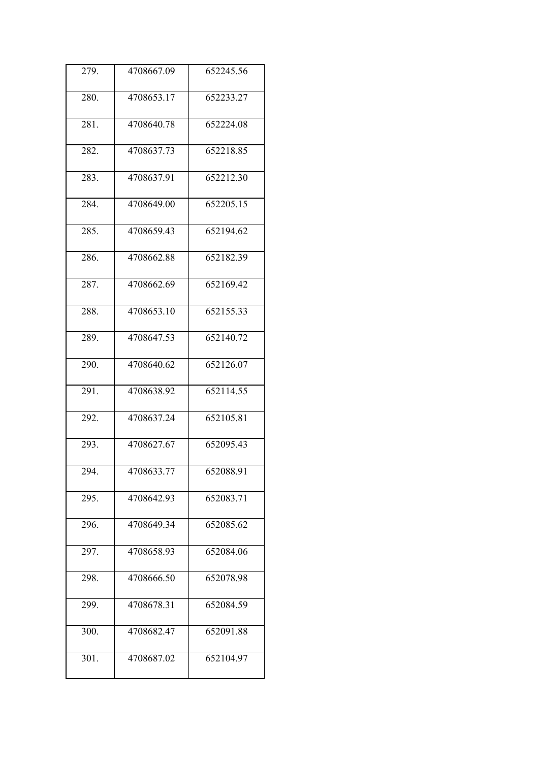| 279. | 4708667.09 | 652245.56 |
|------|------------|-----------|
| 280. | 4708653.17 | 652233.27 |
| 281. | 4708640.78 | 652224.08 |
| 282. | 4708637.73 | 652218.85 |
| 283. | 4708637.91 | 652212.30 |
| 284. | 4708649.00 | 652205.15 |
| 285. | 4708659.43 | 652194.62 |
| 286. | 4708662.88 | 652182.39 |
| 287. | 4708662.69 | 652169.42 |
| 288. | 4708653.10 | 652155.33 |
| 289. | 4708647.53 | 652140.72 |
| 290. | 4708640.62 | 652126.07 |
| 291. | 4708638.92 | 652114.55 |
| 292. | 4708637.24 | 652105.81 |
| 293. | 4708627.67 | 652095.43 |
| 294. | 4708633.77 | 652088.91 |
| 295. | 4708642.93 | 652083.71 |
| 296. | 4708649.34 | 652085.62 |
| 297. | 4708658.93 | 652084.06 |
| 298. | 4708666.50 | 652078.98 |
| 299. | 4708678.31 | 652084.59 |
| 300. | 4708682.47 | 652091.88 |
| 301. | 4708687.02 | 652104.97 |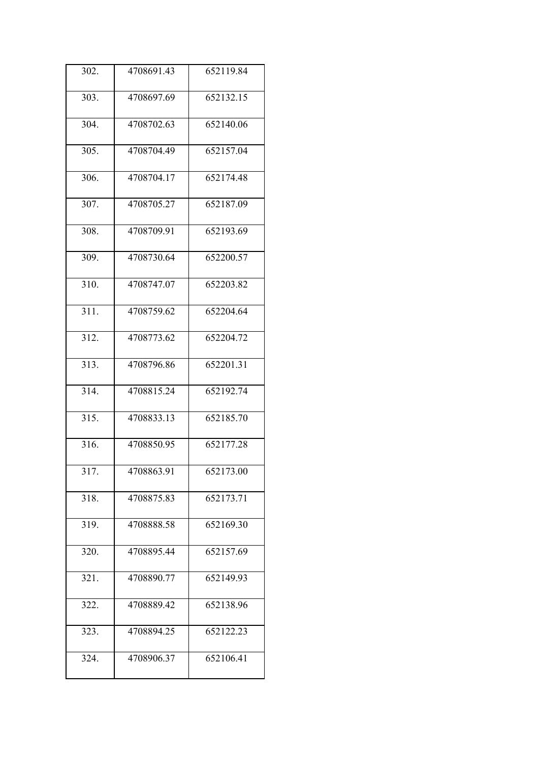| 302. | 4708691.43 | 652119.84 |
|------|------------|-----------|
| 303. | 4708697.69 | 652132.15 |
| 304. | 4708702.63 | 652140.06 |
| 305. | 4708704.49 | 652157.04 |
| 306. | 4708704.17 | 652174.48 |
| 307. | 4708705.27 | 652187.09 |
| 308. | 4708709.91 | 652193.69 |
| 309. | 4708730.64 | 652200.57 |
| 310. | 4708747.07 | 652203.82 |
| 311. | 4708759.62 | 652204.64 |
| 312. | 4708773.62 | 652204.72 |
| 313. | 4708796.86 | 652201.31 |
| 314. | 4708815.24 | 652192.74 |
| 315. | 4708833.13 | 652185.70 |
| 316. | 4708850.95 | 652177.28 |
| 317. | 4708863.91 | 652173.00 |
| 318. | 4708875.83 | 652173.71 |
| 319. | 4708888.58 | 652169.30 |
| 320. | 4708895.44 | 652157.69 |
| 321. | 4708890.77 | 652149.93 |
| 322. | 4708889.42 | 652138.96 |
| 323. | 4708894.25 | 652122.23 |
| 324. | 4708906.37 | 652106.41 |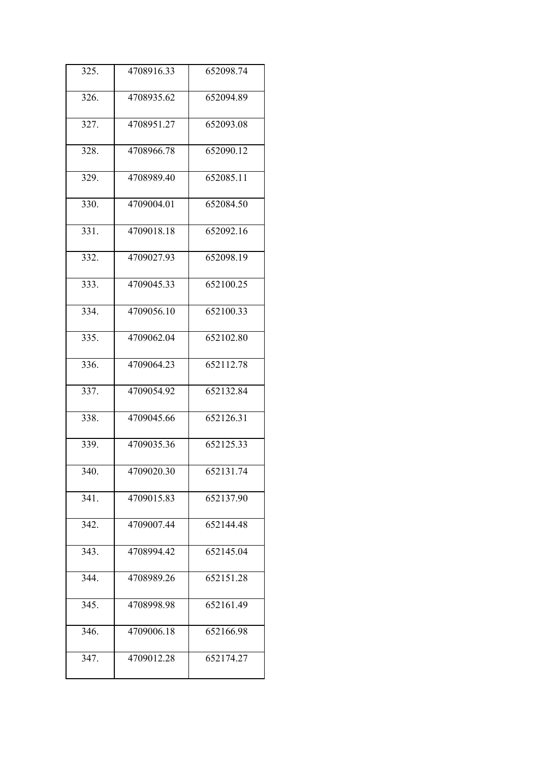| 325. | 4708916.33 | 652098.74 |
|------|------------|-----------|
| 326. | 4708935.62 | 652094.89 |
| 327. | 4708951.27 | 652093.08 |
| 328. | 4708966.78 | 652090.12 |
| 329. | 4708989.40 | 652085.11 |
| 330. | 4709004.01 | 652084.50 |
| 331. | 4709018.18 | 652092.16 |
| 332. | 4709027.93 | 652098.19 |
| 333. | 4709045.33 | 652100.25 |
| 334. | 4709056.10 | 652100.33 |
| 335. | 4709062.04 | 652102.80 |
| 336. | 4709064.23 | 652112.78 |
| 337. | 4709054.92 | 652132.84 |
| 338. | 4709045.66 | 652126.31 |
| 339. | 4709035.36 | 652125.33 |
| 340. | 4709020.30 | 652131.74 |
| 341. | 4709015.83 | 652137.90 |
| 342. | 4709007.44 | 652144.48 |
| 343. | 4708994.42 | 652145.04 |
| 344. | 4708989.26 | 652151.28 |
| 345. | 4708998.98 | 652161.49 |
| 346. | 4709006.18 | 652166.98 |
| 347. | 4709012.28 | 652174.27 |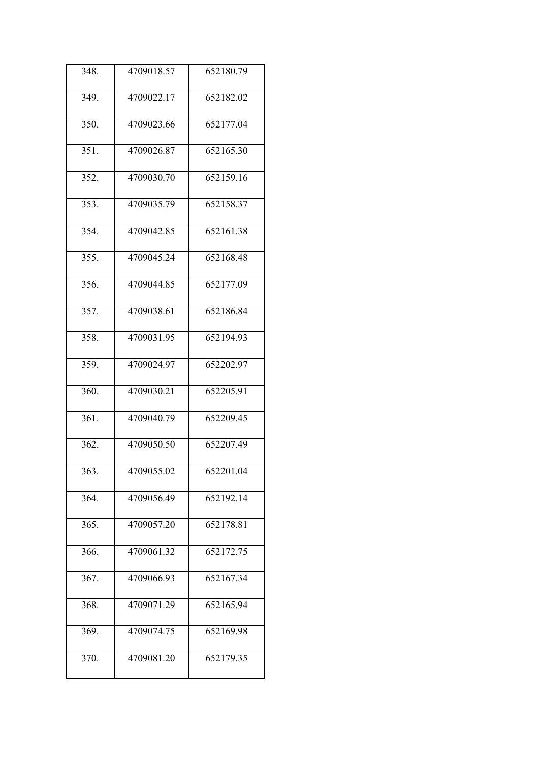| 348. | 4709018.57 | 652180.79 |
|------|------------|-----------|
| 349. | 4709022.17 | 652182.02 |
| 350. | 4709023.66 | 652177.04 |
| 351. | 4709026.87 | 652165.30 |
| 352. | 4709030.70 | 652159.16 |
| 353. | 4709035.79 | 652158.37 |
| 354. | 4709042.85 | 652161.38 |
| 355. | 4709045.24 | 652168.48 |
| 356. | 4709044.85 | 652177.09 |
| 357. | 4709038.61 | 652186.84 |
| 358. | 4709031.95 | 652194.93 |
| 359. | 4709024.97 | 652202.97 |
| 360. | 4709030.21 | 652205.91 |
| 361. | 4709040.79 | 652209.45 |
| 362. | 4709050.50 | 652207.49 |
| 363. | 4709055.02 | 652201.04 |
| 364. | 4709056.49 | 652192.14 |
| 365. | 4709057.20 | 652178.81 |
| 366. | 4709061.32 | 652172.75 |
| 367. | 4709066.93 | 652167.34 |
| 368. | 4709071.29 | 652165.94 |
| 369. | 4709074.75 | 652169.98 |
| 370. | 4709081.20 | 652179.35 |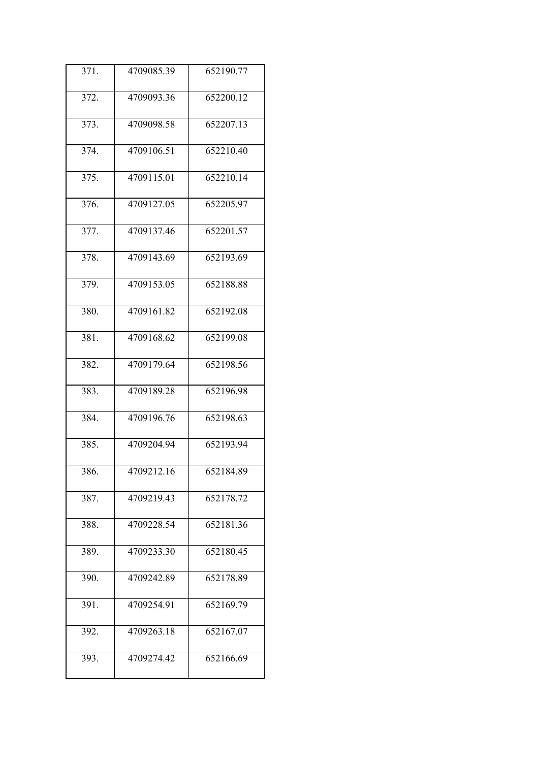| 371. | 4709085.39 | 652190.77 |
|------|------------|-----------|
| 372. | 4709093.36 | 652200.12 |
| 373. | 4709098.58 | 652207.13 |
| 374. | 4709106.51 | 652210.40 |
| 375. | 4709115.01 | 652210.14 |
| 376. | 4709127.05 | 652205.97 |
| 377. | 4709137.46 | 652201.57 |
| 378. | 4709143.69 | 652193.69 |
| 379. | 4709153.05 | 652188.88 |
| 380. | 4709161.82 | 652192.08 |
| 381. | 4709168.62 | 652199.08 |
| 382. | 4709179.64 | 652198.56 |
| 383. | 4709189.28 | 652196.98 |
| 384. | 4709196.76 | 652198.63 |
| 385. | 4709204.94 | 652193.94 |
| 386. | 4709212.16 | 652184.89 |
| 387. | 4709219.43 | 652178.72 |
| 388. | 4709228.54 | 652181.36 |
| 389. | 4709233.30 | 652180.45 |
| 390. | 4709242.89 | 652178.89 |
| 391. | 4709254.91 | 652169.79 |
| 392. | 4709263.18 | 652167.07 |
| 393. | 4709274.42 | 652166.69 |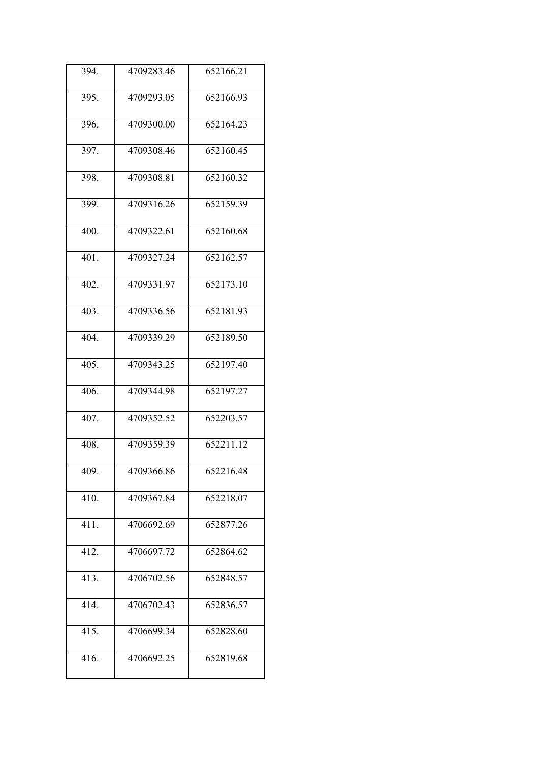| 394.               | 4709283.46 | 652166.21 |
|--------------------|------------|-----------|
| 395.               | 4709293.05 | 652166.93 |
| 396.               | 4709300.00 | 652164.23 |
| 397.               | 4709308.46 | 652160.45 |
| 398.               | 4709308.81 | 652160.32 |
| 399.               | 4709316.26 | 652159.39 |
| 400.               | 4709322.61 | 652160.68 |
| $\overline{401}$ . | 4709327.24 | 652162.57 |
| 402.               | 4709331.97 | 652173.10 |
| 403.               | 4709336.56 | 652181.93 |
| 404.               | 4709339.29 | 652189.50 |
| 405.               | 4709343.25 | 652197.40 |
| 406.               | 4709344.98 | 652197.27 |
| 407.               | 4709352.52 | 652203.57 |
| 408.               | 4709359.39 | 652211.12 |
| 409.               | 4709366.86 | 652216.48 |
| 410.               | 4709367.84 | 652218.07 |
| 411.               | 4706692.69 | 652877.26 |
| 412.               | 4706697.72 | 652864.62 |
| 413.               | 4706702.56 | 652848.57 |
| 414.               | 4706702.43 | 652836.57 |
| 415.               | 4706699.34 | 652828.60 |
| 416.               | 4706692.25 | 652819.68 |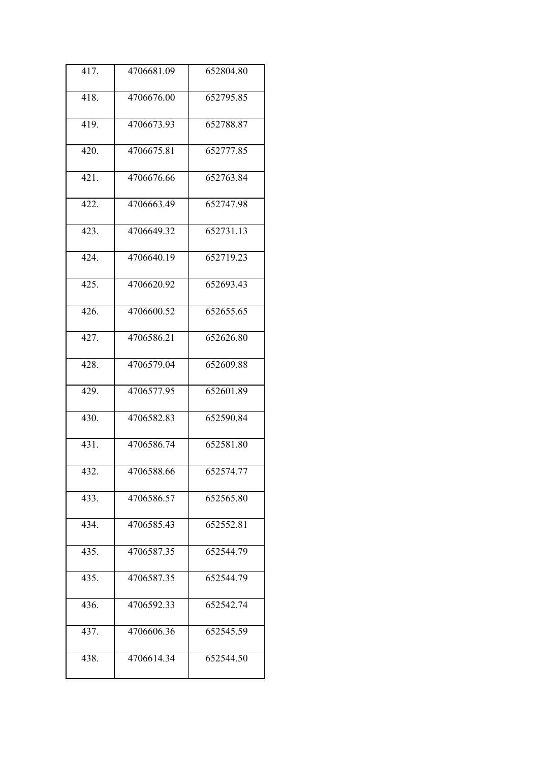| 417. | 4706681.09 | 652804.80 |
|------|------------|-----------|
| 418. | 4706676.00 | 652795.85 |
| 419. | 4706673.93 | 652788.87 |
| 420. | 4706675.81 | 652777.85 |
| 421. | 4706676.66 | 652763.84 |
| 422. | 4706663.49 | 652747.98 |
| 423. | 4706649.32 | 652731.13 |
| 424. | 4706640.19 | 652719.23 |
| 425. | 4706620.92 | 652693.43 |
| 426. | 4706600.52 | 652655.65 |
| 427. | 4706586.21 | 652626.80 |
| 428. | 4706579.04 | 652609.88 |
| 429. | 4706577.95 | 652601.89 |
| 430. | 4706582.83 | 652590.84 |
| 431. | 4706586.74 | 652581.80 |
| 432. | 4706588.66 | 652574.77 |
| 433. | 4706586.57 | 652565.80 |
| 434. | 4706585.43 | 652552.81 |
| 435. | 4706587.35 | 652544.79 |
| 435. | 4706587.35 | 652544.79 |
| 436. | 4706592.33 | 652542.74 |
| 437. | 4706606.36 | 652545.59 |
| 438. | 4706614.34 | 652544.50 |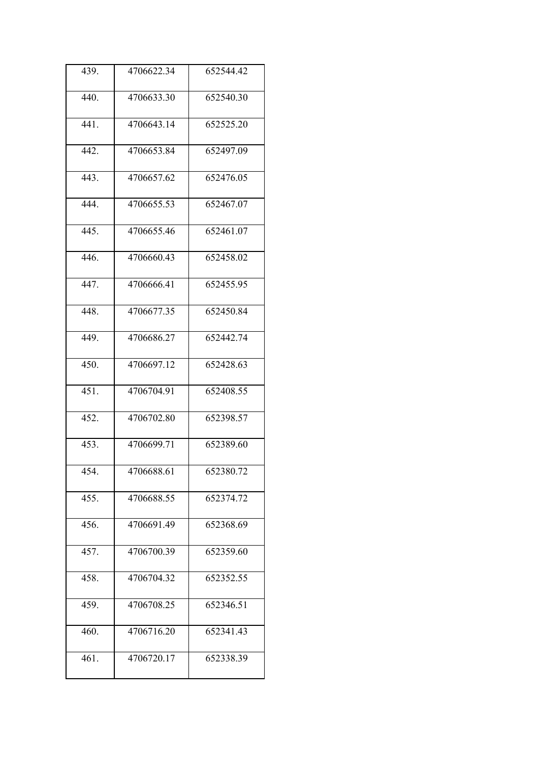| 439. | 4706622.34 | 652544.42 |
|------|------------|-----------|
| 440. | 4706633.30 | 652540.30 |
| 441. | 4706643.14 | 652525.20 |
| 442. | 4706653.84 | 652497.09 |
| 443. | 4706657.62 | 652476.05 |
| 444. | 4706655.53 | 652467.07 |
| 445. | 4706655.46 | 652461.07 |
| 446. | 4706660.43 | 652458.02 |
| 447. | 4706666.41 | 652455.95 |
| 448. | 4706677.35 | 652450.84 |
| 449. | 4706686.27 | 652442.74 |
| 450. | 4706697.12 | 652428.63 |
| 451. | 4706704.91 | 652408.55 |
| 452. | 4706702.80 | 652398.57 |
| 453. | 4706699.71 | 652389.60 |
| 454. | 4706688.61 | 652380.72 |
| 455. | 4706688.55 | 652374.72 |
| 456. | 4706691.49 | 652368.69 |
| 457. | 4706700.39 | 652359.60 |
| 458. | 4706704.32 | 652352.55 |
| 459. | 4706708.25 | 652346.51 |
| 460. | 4706716.20 | 652341.43 |
| 461. | 4706720.17 | 652338.39 |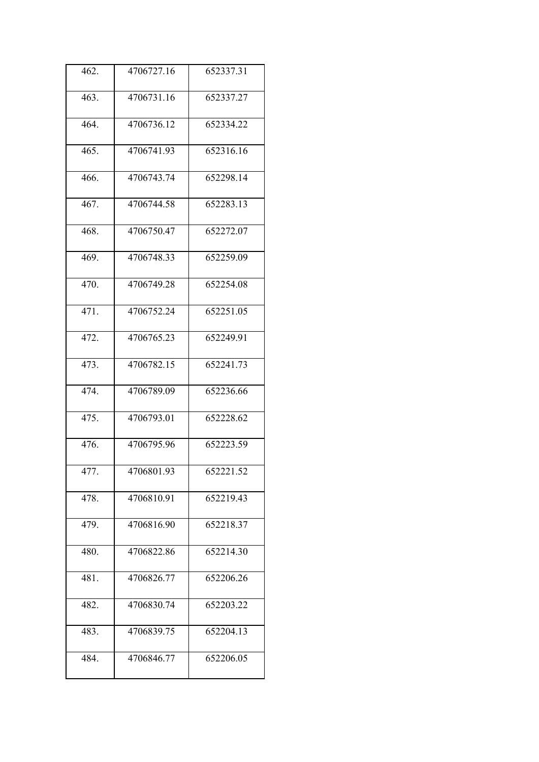| 462. | 4706727.16 | 652337.31               |
|------|------------|-------------------------|
| 463. | 4706731.16 | 652337.27               |
| 464. | 4706736.12 | 652334.22               |
| 465. | 4706741.93 | 652316.16               |
| 466. | 4706743.74 | 652298.14               |
| 467. | 4706744.58 | 652283.13               |
| 468. | 4706750.47 | 652272.07               |
| 469. | 4706748.33 | 652259.09               |
| 470. | 4706749.28 | 652254.08               |
| 471. | 4706752.24 | $\overline{65}$ 2251.05 |
| 472. | 4706765.23 | 652249.91               |
| 473. | 4706782.15 | 652241.73               |
| 474. | 4706789.09 | 652236.66               |
| 475. | 4706793.01 | 652228.62               |
| 476. | 4706795.96 | 652223.59               |
| 477. | 4706801.93 | 652221.52               |
| 478. | 4706810.91 | 652219.43               |
| 479. | 4706816.90 | 652218.37               |
| 480. | 4706822.86 | 652214.30               |
| 481. | 4706826.77 | 652206.26               |
| 482. | 4706830.74 | 652203.22               |
| 483. | 4706839.75 | 652204.13               |
| 484. | 4706846.77 | 652206.05               |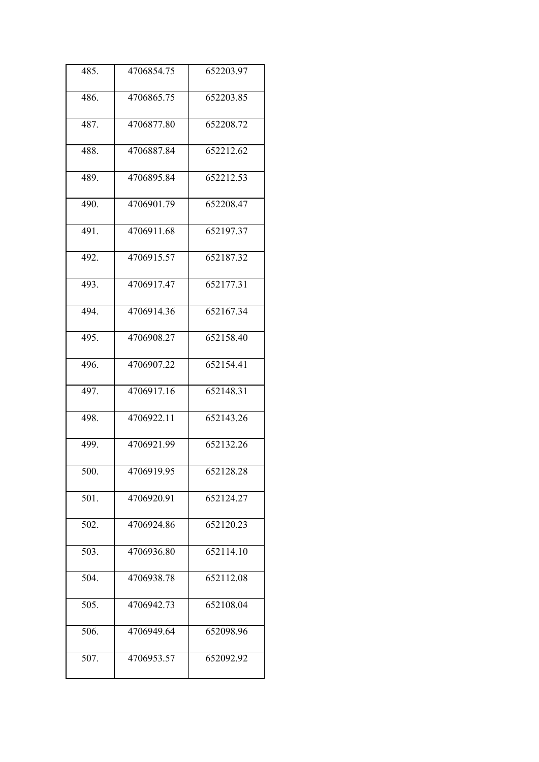| 485. | 4706854.75 | 652203.97 |
|------|------------|-----------|
| 486. | 4706865.75 | 652203.85 |
| 487. | 4706877.80 | 652208.72 |
| 488. | 4706887.84 | 652212.62 |
| 489. | 4706895.84 | 652212.53 |
| 490. | 4706901.79 | 652208.47 |
| 491. | 4706911.68 | 652197.37 |
| 492. | 4706915.57 | 652187.32 |
| 493. | 4706917.47 | 652177.31 |
| 494. | 4706914.36 | 652167.34 |
| 495. | 4706908.27 | 652158.40 |
| 496. | 4706907.22 | 652154.41 |
| 497. | 4706917.16 | 652148.31 |
| 498. | 4706922.11 | 652143.26 |
| 499. | 4706921.99 | 652132.26 |
| 500. | 4706919.95 | 652128.28 |
| 501. | 4706920.91 | 652124.27 |
| 502. | 4706924.86 | 652120.23 |
| 503. | 4706936.80 | 652114.10 |
| 504. | 4706938.78 | 652112.08 |
| 505. | 4706942.73 | 652108.04 |
| 506. | 4706949.64 | 652098.96 |
| 507. | 4706953.57 | 652092.92 |